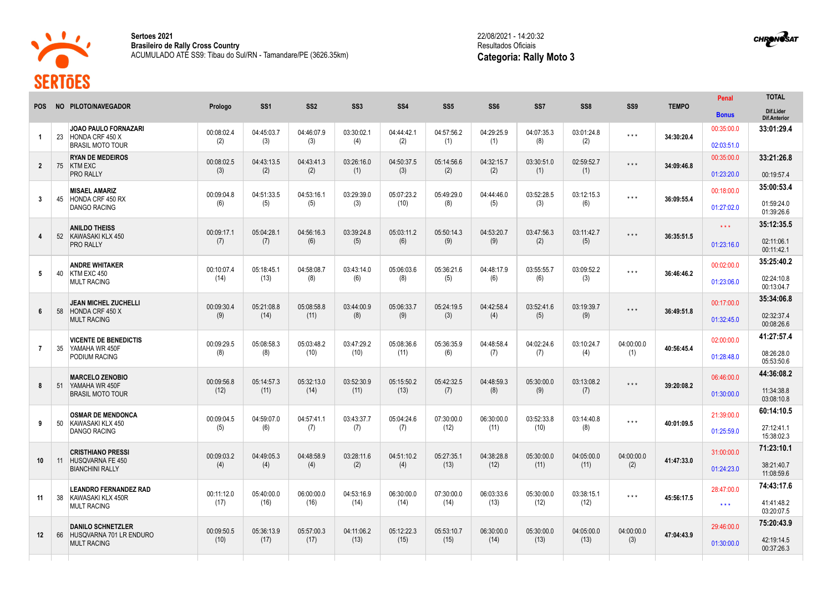

**The Company** 

**Sertoes 2021 Brasileiro de Rally Cross Country** ACUMULADO ATÉ SS9: Tibau do Sul/RN - Tamandare/PE (3626.35km) 22/08/2021 - 14:20:32 Resultados Oficiais **Categoria: Rally Moto 3**

**CHRONOSAT** 

|                         |    | NO PILOTO/NAVEGADOR                                                           | Prologo            | SS <sub>1</sub>    | SS <sub>2</sub>    | SS <sub>3</sub>    | SS <sub>4</sub>    | SS <sub>5</sub>    | SS <sub>6</sub>    | SS <sub>7</sub>    | SS <sub>8</sub>    |                         |              | Penal                    | <b>TOTAL</b>                     |
|-------------------------|----|-------------------------------------------------------------------------------|--------------------|--------------------|--------------------|--------------------|--------------------|--------------------|--------------------|--------------------|--------------------|-------------------------|--------------|--------------------------|----------------------------------|
| <b>POS</b>              |    |                                                                               |                    |                    |                    |                    |                    |                    |                    |                    |                    | SS <sub>9</sub>         | <b>TEMPO</b> | <b>Bonus</b>             | Dif.Lider<br><b>Dif.Anterior</b> |
| -1                      | 23 | <b>JOAO PAULO FORNAZARI</b><br>HONDA CRF 450 X                                | 00:08:02.4<br>(2)  | 04:45:03.7<br>(3)  | 04:46:07.9<br>(3)  | 03:30:02.1<br>(4)  | 04:44:42.1<br>(2)  | 04:57:56.2<br>(1)  | 04:29:25.9<br>(1)  | 04:07:35.3<br>(8)  | 03:01:24.8<br>(2)  | $\star$ $\star$ $\star$ | 34:30:20.4   | 00:35:00.0               | 33:01:29.4                       |
|                         |    | <b>BRASIL MOTO TOUR</b>                                                       |                    |                    |                    |                    |                    |                    |                    |                    |                    |                         |              | 02:03:51.0               |                                  |
| $\overline{2}$          | 75 | <b>RYAN DE MEDEIROS</b><br><b>KTM EXC</b><br><b>PRO RALLY</b>                 | 00:08:02.5<br>(3)  | 04:43:13.5<br>(2)  | 04:43:41.3<br>(2)  | 03:26:16.0<br>(1)  | 04:50:37.5<br>(3)  | 05:14:56.6<br>(2)  | 04:32:15.7<br>(2)  | 03:30:51.0<br>(1)  | 02:59:52.7<br>(1)  | $\star$ $\star$ $\star$ | 34:09:46.8   | 00:35:00.0<br>01:23:20.0 | 33:21:26.8<br>00:19:57.4         |
|                         |    |                                                                               |                    |                    |                    |                    |                    |                    |                    |                    |                    |                         |              |                          | 35:00:53.4                       |
| $\overline{\mathbf{3}}$ | 45 | <b>MISAEL AMARIZ</b><br>HONDA CRF 450 RX<br><b>DANGO RACING</b>               | 00:09:04.8<br>(6)  | 04:51:33.5<br>(5)  | 04:53:16.1<br>(5)  | 03:29:39.0<br>(3)  | 05:07:23.2<br>(10) | 05:49:29.0<br>(8)  | 04:44:46.0<br>(5)  | 03:52:28.5<br>(3)  | 03:12:15.3<br>(6)  | $\star$ $\star$ $\star$ | 36:09:55.4   | 00:18:00.0               | 01:59:24.0                       |
|                         |    |                                                                               |                    |                    |                    |                    |                    |                    |                    |                    |                    |                         |              | 01:27:02.0               | 01:39:26.6                       |
|                         |    | <b>ANILDO THEISS</b>                                                          | 00:09:17.1         | 05:04:28.1         | 04:56:16.3         | 03:39:24.8         | 05:03:11.2         | 05:50:14.3         | 04:53:20.7         | 03:47:56.3         | 03:11:42.7         |                         | 36:35:51.5   | $\star \star \star$      | 35:12:35.5                       |
| 4                       |    | 52 KAWASAKI KLX 450<br>PRO RALLY                                              | (7)                | (7)                | (6)                | (5)                | (6)                | (9)                | (9)                | (2)                | (5)                | $\star$ $\star$ $\star$ |              | 01:23:16.0               | 02:11:06.1<br>00:11:42.1         |
|                         |    | <b>ANDRE WHITAKER</b>                                                         |                    |                    |                    |                    |                    |                    |                    |                    |                    |                         |              | 00:02:00.0               | 35:25:40.2                       |
| 5                       | 40 | KTM EXC 450<br><b>MULT RACING</b>                                             | 00:10:07.4<br>(14) | 05:18:45.1<br>(13) | 04:58:08.7<br>(8)  | 03:43:14.0<br>(6)  | 05:06:03.6<br>(8)  | 05:36:21.6<br>(5)  | 04:48:17.9<br>(6)  | 03:55:55.7<br>(6)  | 03:09:52.2<br>(3)  | $\star$ $\star$ $\star$ | 36:46:46.2   | 01:23:06.0               | 02:24:10.8<br>00:13:04.7         |
|                         |    | <b>JEAN MICHEL ZUCHELLI</b>                                                   |                    |                    |                    |                    |                    |                    |                    |                    |                    |                         |              | 00:17:00.0               | 35:34:06.8                       |
| 6                       | 58 | HONDA CRF 450 X<br><b>MULT RACING</b>                                         | 00:09:30.4<br>(9)  | 05:21:08.8<br>(14) | 05:08:58.8<br>(11) | 03:44:00.9<br>(8)  | 05:06:33.7<br>(9)  | 05:24:19.5<br>(3)  | 04:42:58.4<br>(4)  | 03:52:41.6<br>(5)  | 03:19:39.7<br>(9)  | $\star$ $\star$ $\star$ | 36:49:51.8   | 01:32:45.0               | 02:32:37.4<br>00:08:26.6         |
|                         |    |                                                                               |                    |                    |                    |                    |                    |                    |                    |                    |                    |                         |              |                          | 41:27:57.4                       |
| $\overline{7}$          | 35 | <b>VICENTE DE BENEDICTIS</b><br>YAMAHA WR 450F                                | 00:09:29.5         | 05:08:58.3         | 05:03:48.2         | 03:47:29.2         | 05:08:36.6         | 05:36:35.9         | 04:48:58.4         | 04:02:24.6         | 03:10:24.7         | 04:00:00.0              | 40:56:45.4   | 02:00:00.0               |                                  |
|                         |    | PODIUM RACING                                                                 | (8)                | (8)                | (10)               | (10)               | (11)               | (6)                | (7)                | (7)                | (4)                | (1)                     |              | 01:28:48.0               | 08:26:28.0<br>05:53:50.6         |
|                         |    | <b>MARCELO ZENOBIO</b>                                                        |                    |                    |                    |                    |                    |                    |                    |                    |                    |                         |              | 06:46:00.0               | 44:36:08.2                       |
| 8                       | 51 | YAMAHA WR 450F<br><b>BRASIL MOTO TOUR</b>                                     | 00:09:56.8<br>(12) | 05:14:57.3<br>(11) | 05:32:13.0<br>(14) | 03:52:30.9<br>(11) | 05:15:50.2<br>(13) | 05:42:32.5<br>(7)  | 04:48:59.3<br>(8)  | 05:30:00.0<br>(9)  | 03:13:08.2<br>(7)  | $\star$ $\star$ $\star$ | 39:20:08.2   | 01:30:00.0               | 11:34:38.8<br>03:08:10.8         |
|                         |    | <b>OSMAR DE MENDONCA</b>                                                      |                    |                    |                    |                    |                    |                    |                    |                    |                    |                         |              | 21:39:00.0               | 60:14:10.5                       |
| 9                       | 50 | KAWASAKI KLX 450                                                              | 00:09:04.5         | 04:59:07.0         | 04:57:41.1         | 03:43:37.7         | 05:04:24.6         | 07:30:00.0         | 06:30:00.0<br>(11) | 03:52:33.8<br>(10) | 03:14:40.8         | $\star$ $\star$ $\star$ | 40:01:09.5   |                          |                                  |
|                         |    | DANGO RACING                                                                  | (5)                | (6)                | (7)                | (7)                | (7)                | (12)               |                    |                    | (8)                |                         |              | 01:25:59.0               | 27:12:41.1<br>15:38:02.3         |
| 10                      | 11 | <b>CRISTHIANO PRESSI</b><br><b>HUSQVARNA FE 450</b><br><b>BIANCHINI RALLY</b> | 00:09:03.2<br>(4)  | 04:49:05.3<br>(4)  | 04:48:58.9<br>(4)  | 03:28:11.6<br>(2)  | 04:51:10.2<br>(4)  | 05:27:35.1<br>(13) | 04:38:28.8<br>(12) | 05:30:00.0<br>(11) | 04:05:00.0<br>(11) | 04:00:00.0<br>(2)       | 41:47:33.0   | 31:00:00.0               | 71:23:10.1                       |
|                         |    |                                                                               |                    |                    |                    |                    |                    |                    |                    |                    |                    |                         |              | 01:24:23.0               | 38:21:40.7<br>11:08:59.6         |
| 11                      |    | <b>LEANDRO FERNANDEZ RAD</b><br>KAWASAKI KLX 450R<br><b>MULT RACING</b>       |                    |                    |                    |                    |                    |                    |                    |                    |                    |                         |              | 28:47:00.0               | 74:43:17.6                       |
|                         | 38 |                                                                               |                    | 00:11:12.0<br>(17) | 05:40:00.0<br>(16) | 06:00:00.0<br>(16) | 04:53:16.9<br>(14) | 06:30:00.0<br>(14) | 07:30:00.0<br>(14) | 06:03:33.6<br>(13) | 05:30:00.0<br>(12) | 03:38:15.1<br>(12)      | $***$        | 45:56:17.5               | $***$                            |
|                         |    |                                                                               |                    |                    |                    |                    |                    |                    |                    |                    |                    |                         |              |                          | 75:20:43.9                       |
| 12 <sup>2</sup>         | 66 | <b>DANILO SCHNETZLER</b><br>HUSQVARNA 701 LR ENDURO<br><b>MULT RACING</b>     | 00:09:50.5         | 05:36:13.9         | 05:57:00.3<br>(17) | 04:11:06.2<br>(13) | 05:12:22.3<br>(15) | 05:53:10.7<br>(15) | 06:30:00.0<br>(14) | 05:30:00.0<br>(13) | 04:05:00.0<br>(13) | 04:00:00.0<br>(3)       | 47:04:43.9   | 29:46:00.0               |                                  |
|                         |    |                                                                               | (10)               | (17)               |                    |                    |                    |                    |                    |                    |                    |                         |              | 01:30:00.0               | 42:19:14.5<br>00:37:26.3         |